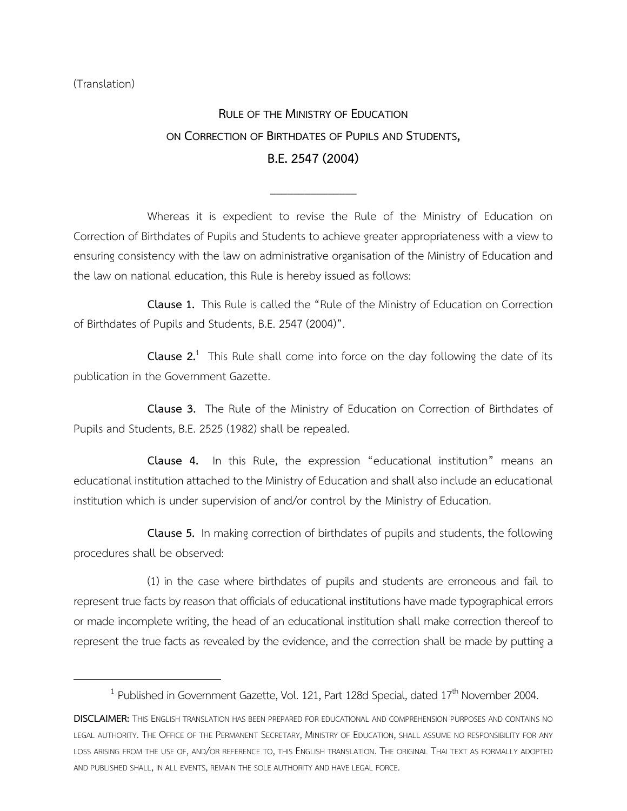(Translation)

 $\overline{\phantom{a}}$ 

## **RULE OF THE MINISTRY OF EDUCATION ON CORRECTION OF BIRTHDATES OF PUPILS AND STUDENTS, B.E.2547(2004)**

\_\_\_\_\_\_\_\_\_\_\_\_\_\_\_

Whereas it is expedient to revise the Rule of the Ministry of Education on Correction of Birthdates of Pupils and Students to achieve greater appropriateness with a view to ensuring consistency with the law on administrative organisation of the Ministry of Education and the law on national education, this Rule is hereby issued as follows:

**Clause 1.** This Rule is called the "Rule of the Ministry of Education on Correction of Birthdates of Pupils and Students, B.E. 2547 (2004)".

**Clause 2.**<sup>1</sup> This Rule shall come into force on the day following the date of its publication in the Government Gazette.

**Clause 3.** The Rule of the Ministry of Education on Correction of Birthdates of Pupils and Students, B.E. 2525 (1982) shall be repealed.

**Clause 4.** In this Rule, the expression "educational institution" means an educational institution attached to the Ministry of Education and shall also include an educational institution which is under supervision of and/or control by the Ministry of Education.

**Clause 5.** In making correction of birthdates of pupils and students, the following procedures shall be observed:

(1) in the case where birthdates of pupils and students are erroneous and fail to represent true facts by reason that officials of educational institutions have made typographical errors or made incomplete writing, the head of an educational institution shall make correction thereof to represent the true facts as revealed by the evidence, and the correction shall be made by putting a

<sup>&</sup>lt;sup>1</sup> Published in Government Gazette, Vol. 121, Part 128d Special, dated 17<sup>th</sup> November 2004.

**DISCLAIMER:** THIS ENGLISH TRANSLATION HAS BEEN PREPARED FOR EDUCATIONAL AND COMPREHENSION PURPOSES AND CONTAINS NO LEGAL AUTHORITY. THE OFFICE OF THE PERMANENT SECRETARY, MINISTRY OF EDUCATION, SHALL ASSUME NO RESPONSIBILITY FOR ANY LOSS ARISING FROM THE USE OF, AND/OR REFERENCE TO, THIS ENGLISH TRANSLATION. THE ORIGINAL THAI TEXT AS FORMALLY ADOPTED AND PUBLISHED SHALL, IN ALL EVENTS, REMAIN THE SOLE AUTHORITY AND HAVE LEGAL FORCE.